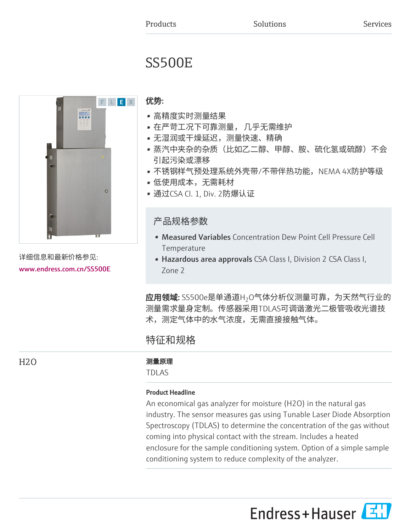# SS500E



详细信息和最新价格参见: [www.endress.com.cn/SS500E](https://www.endress.com.cn/SS500E)

# 优势:

- 高精度实时测量结果
- 在严苛工况下可靠测量, 几乎无需维护
- 无湿润或干燥延迟,测量快速、精确
- 蒸汽中夹杂的杂质(比如乙二醇、甲醇、胺、硫化氢或硫醇)不会 引起污染或漂移
- 不锈钢样气预处理系统外壳带/不带伴热功能,NEMA 4X防护等级
- 低使用成本,无需耗材
- 通过CSA Cl. 1, Div. 2防爆认证

# 产品规格参数

- Measured Variables Concentration Dew Point Cell Pressure Cell Temperature
- Hazardous area approvals CSA Class I, Division 2 CSA Class I, Zone 2

**应用领域:** SS500e是单通道H<sub>2</sub>O气体分析仪测量可靠,为天然气行业的 测量需求量身定制。传感器采用TDLAS可调谐激光二极管吸收光谱技 术,测定气体中的水气浓度,无需直接接触气体。

# 特征和规格

H2O 2000 2000 2000 2000 测量原理

TDLAS

# Product Headline

An economical gas analyzer for moisture (H2O) in the natural gas industry. The sensor measures gas using Tunable Laser Diode Absorption Spectroscopy (TDLAS) to determine the concentration of the gas without coming into physical contact with the stream. Includes a heated enclosure for the sample conditioning system. Option of a simple sample conditioning system to reduce complexity of the analyzer.

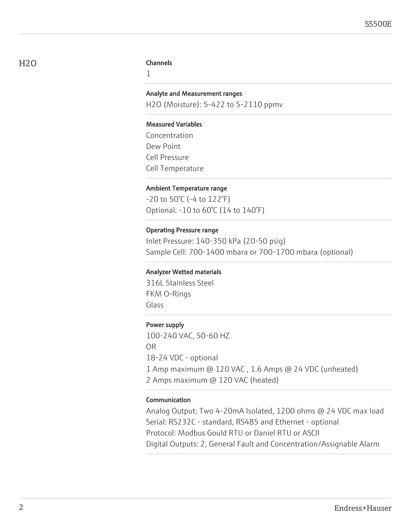#### H<sub>2</sub>O Channels

1

#### Analyte and Measurement ranges

H2O (Moisture): 5-422 to 5-2110 ppmv

#### Measured Variables

Concentration Dew Point Cell Pressure Cell Temperature

#### Ambient Temperature range

-20 to 50°C (-4 to 122°F) Optional: -10 to 60°C (14 to 140°F)

#### Operating Pressure range

Inlet Pressure: 140-350 kPa (20-50 psig) Sample Cell: 700-1400 mbara or 700-1700 mbara (optional)

#### Analyzer Wetted materials

316L Stainless Steel FKM O-Rings Glass

### Power supply

100-240 VAC, 50-60 HZ OR 18-24 VDC - optional 1 Amp maximum @ 120 VAC , 1.6 Amps @ 24 VDC (unheated) 2 Amps maximum @ 120 VAC (heated)

#### Communication

Analog Output: Two 4-20mA Isolated, 1200 ohms @ 24 VDC max load Serial: RS232C - standard, RS485 and Ethernet - optional Protocol: Modbus Gould RTU or Daniel RTU or ASCII Digital Outputs: 2, General Fault and Concentration/Assignable Alarm